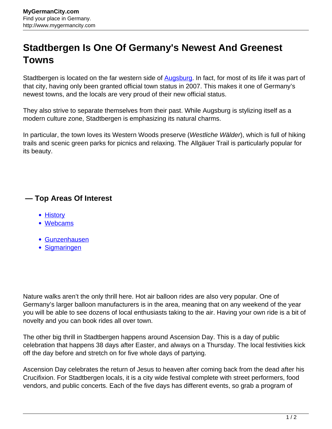## **Stadtbergen Is One Of Germany's Newest And Greenest Towns**

Stadtbergen is located on the far western side of **Augsburg**. In fact, for most of its life it was part of that city, having only been granted official town status in 2007. This makes it one of Germany's newest towns, and the locals are very proud of their new official status.

They also strive to separate themselves from their past. While Augsburg is stylizing itself as a modern culture zone, Stadtbergen is emphasizing its natural charms.

In particular, the town loves its Western Woods preserve (Westliche Wälder), which is full of hiking trails and scenic green parks for picnics and relaxing. The Allgäuer Trail is particularly popular for its beauty.

## **— Top Areas Of Interest**

- **[History](http://www.mygermancity.com/leipzig-history)**
- [Webcams](http://www.mygermancity.com/neustadt-holstein-webcams)
- [Gunzenhausen](http://www.mygermancity.com/gunzenhausen)
- [Sigmaringen](http://www.mygermancity.com/sigmaringen)

Nature walks aren't the only thrill here. Hot air balloon rides are also very popular. One of Germany's larger balloon manufacturers is in the area, meaning that on any weekend of the year you will be able to see dozens of local enthusiasts taking to the air. Having your own ride is a bit of novelty and you can book rides all over town.

The other big thrill in Stadtbergen happens around Ascension Day. This is a day of public celebration that happens 38 days after Easter, and always on a Thursday. The local festivities kick off the day before and stretch on for five whole days of partying.

Ascension Day celebrates the return of Jesus to heaven after coming back from the dead after his Crucifixion. For Stadtbergen locals, it is a city wide festival complete with street performers, food vendors, and public concerts. Each of the five days has different events, so grab a program of